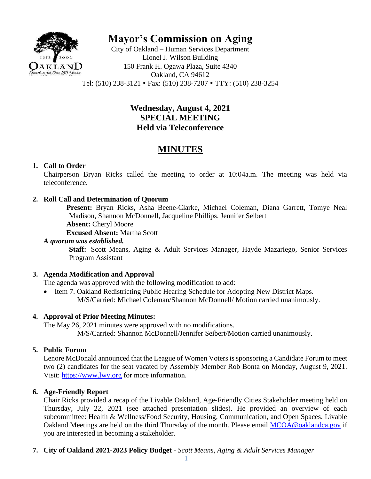

**Mayor's Commission on Aging**

City of Oakland – Human Services Department Lionel J. Wilson Building 150 Frank H. Ogawa Plaza, Suite 4340 Oakland, CA 94612 Tel: (510) 238-3121 Fax: (510) 238-7207 TTY: (510) 238-3254

## **Wednesday, August 4, 2021 SPECIAL MEETING Held via Teleconference**

# **MINUTES**

## **1. Call to Order**

Chairperson Bryan Ricks called the meeting to order at 10:04a.m. The meeting was held via teleconference.

## **2. Roll Call and Determination of Quorum**

**Present:** Bryan Ricks, Asha Beene-Clarke, Michael Coleman, Diana Garrett, Tomye Neal Madison, Shannon McDonnell, Jacqueline Phillips, Jennifer Seibert

**Absent:** Cheryl Moore

**Excused Absent:** Martha Scott

#### *A quorum was established.*

**Staff:** Scott Means, Aging & Adult Services Manager, Hayde Mazariego, Senior Services Program Assistant

## **3. Agenda Modification and Approval**

The agenda was approved with the following modification to add:

• Item 7. Oakland Redistricting Public Hearing Schedule for Adopting New District Maps. M/S/Carried: Michael Coleman/Shannon McDonnell/ Motion carried unanimously.

## **4. Approval of Prior Meeting Minutes:**

The May 26, 2021 minutes were approved with no modifications. M/S/Carried: Shannon McDonnell/Jennifer Seibert/Motion carried unanimously.

## **5. Public Forum**

Lenore McDonald announced that the League of Women Voters is sponsoring a Candidate Forum to meet two (2) candidates for the seat vacated by Assembly Member Rob Bonta on Monday, August 9, 2021. Visit: [https://www.lwv.org](https://www.lwv.org/) for more information.

## **6. Age-Friendly Report**

Chair Ricks provided a recap of the Livable Oakland, Age-Friendly Cities Stakeholder meeting held on Thursday, July 22, 2021 (see attached presentation slides). He provided an overview of each subcommittee: Health & Wellness/Food Security, Housing, Communication, and Open Spaces. Livable Oakland Meetings are held on the third Thursday of the month. Please email [MCOA@oaklandca.gov](mailto:MCOA@oaklandca.gov) if you are interested in becoming a stakeholder.

## **7. City of Oakland 2021-2023 Policy Budget** - *Scott Means, Aging & Adult Services Manager*